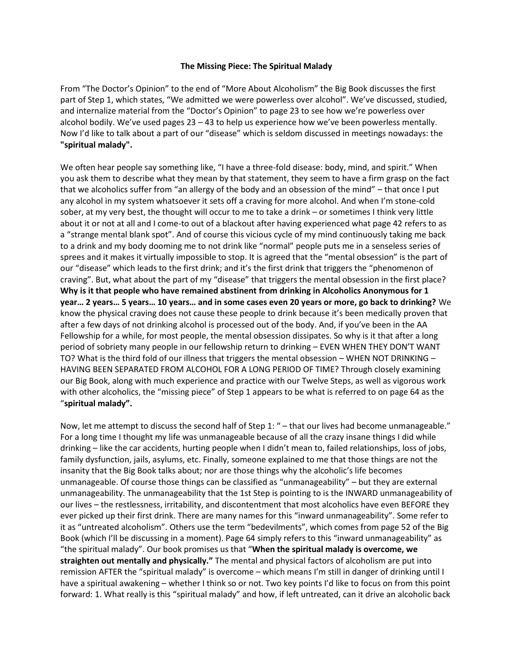## **The Missing Piece: The Spiritual Malady**

From "The Doctor's Opinion" to the end of "More About Alcoholism" the Big Book discusses the first part of Step 1, which states, "We admitted we were powerless over alcohol". We've discussed, studied, and internalize material from the "Doctor's Opinion" to page 23 to see how we're powerless over alcohol bodily. We've used pages  $23 - 43$  to help us experience how we've been powerless mentally. Now I'd like to talk about a part of our "disease" which is seldom discussed in meetings nowadays: the **"spiritual malady".**

We often hear people say something like, "I have a three-fold disease: body, mind, and spirit." When you ask them to describe what they mean by that statement, they seem to have a firm grasp on the fact that we alcoholics suffer from "an allergy of the body and an obsession of the mind" – that once I put any alcohol in my system whatsoever it sets off a craving for more alcohol. And when I'm stone-cold sober, at my very best, the thought will occur to me to take a drink – or sometimes I think very little about it or not at all and I come-to out of a blackout after having experienced what page 42 refers to as a "strange mental blank spot". And of course this vicious cycle of my mind continuously taking me back to a drink and my body dooming me to not drink like "normal" people puts me in a senseless series of sprees and it makes it virtually impossible to stop. It is agreed that the "mental obsession" is the part of our "disease" which leads to the first drink; and it's the first drink that triggers the "phenomenon of craving". But, what about the part of my "disease" that triggers the mental obsession in the first place? **Why is it that people who have remained abstinent from drinking in Alcoholics Anonymous for 1 year… 2 years… 5 years… 10 years… and in some cases even 20 years or more, go back to drinking?** We know the physical craving does not cause these people to drink because it's been medically proven that after a few days of not drinking alcohol is processed out of the body. And, if you've been in the AA Fellowship for a while, for most people, the mental obsession dissipates. So why is it that after a long period of sobriety many people in our fellowship return to drinking – EVEN WHEN THEY DON'T WANT TO? What is the third fold of our illness that triggers the mental obsession – WHEN NOT DRINKING – HAVING BEEN SEPARATED FROM ALCOHOL FOR A LONG PERIOD OF TIME? Through closely examining our Big Book, along with much experience and practice with our Twelve Steps, as well as vigorous work with other alcoholics, the "missing piece" of Step 1 appears to be what is referred to on page 64 as the "**spiritual malady".**

Now, let me attempt to discuss the second half of Step 1: " – that our lives had become unmanageable." For a long time I thought my life was unmanageable because of all the crazy insane things I did while drinking – like the car accidents, hurting people when I didn't mean to, failed relationships, loss of jobs, family dysfunction, jails, asylums, etc. Finally, someone explained to me that those things are not the insanity that the Big Book talks about; nor are those things why the alcoholic's life becomes unmanageable. Of course those things can be classified as "unmanageability" – but they are external unmanageability. The unmanageability that the 1st Step is pointing to is the INWARD unmanageability of our lives – the restlessness, irritability, and discontentment that most alcoholics have even BEFORE they ever picked up their first drink. There are many names for this "inward unmanageability". Some refer to it as "untreated alcoholism". Others use the term "bedevilments", which comes from page 52 of the Big Book (which I'll be discussing in a moment). Page 64 simply refers to this "inward unmanageability" as "the spiritual malady". Our book promises us that "**When the spiritual malady is overcome, we straighten out mentally and physically."** The mental and physical factors of alcoholism are put into remission AFTER the "spiritual malady" is overcome – which means I'm still in danger of drinking until I have a spiritual awakening – whether I think so or not. Two key points I'd like to focus on from this point forward: 1. What really is this "spiritual malady" and how, if left untreated, can it drive an alcoholic back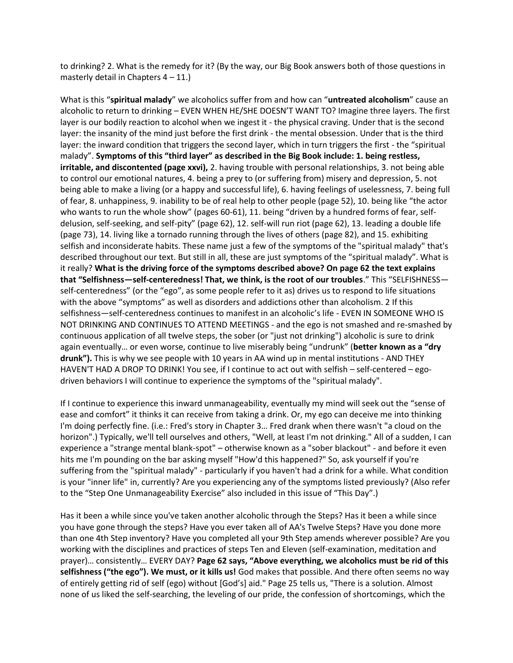to drinking? 2. What is the remedy for it? (By the way, our Big Book answers both of those questions in masterly detail in Chapters  $4 - 11$ .

What is this "**spiritual malady**" we alcoholics suffer from and how can "**untreated alcoholism**" cause an alcoholic to return to drinking – EVEN WHEN HE/SHE DOESN'T WANT TO? Imagine three layers. The first layer is our bodily reaction to alcohol when we ingest it - the physical craving. Under that is the second layer: the insanity of the mind just before the first drink - the mental obsession. Under that is the third layer: the inward condition that triggers the second layer, which in turn triggers the first - the "spiritual malady". **Symptoms of this "third layer" as described in the Big Book include: 1. being restless, irritable, and discontented (page xxvi),** 2. having trouble with personal relationships, 3. not being able to control our emotional natures, 4. being a prey to (or suffering from) misery and depression, 5. not being able to make a living (or a happy and successful life), 6. having feelings of uselessness, 7. being full of fear, 8. unhappiness, 9. inability to be of real help to other people (page 52), 10. being like "the actor who wants to run the whole show" (pages 60-61), 11. being "driven by a hundred forms of fear, selfdelusion, self-seeking, and self-pity" (page 62), 12. self-will run riot (page 62), 13. leading a double life (page 73), 14. living like a tornado running through the lives of others (page 82), and 15. exhibiting selfish and inconsiderate habits. These name just a few of the symptoms of the "spiritual malady" that's described throughout our text. But still in all, these are just symptoms of the "spiritual malady". What is it really? **What is the driving force of the symptoms described above? On page 62 the text explains that "Selfishness—self-centeredness! That, we think, is the root of our troubles**." This "SELFISHNESS self-centeredness" (or the "ego", as some people refer to it as) drives us to respond to life situations with the above "symptoms" as well as disorders and addictions other than alcoholism. 2 If this selfishness—self-centeredness continues to manifest in an alcoholic's life - EVEN IN SOMEONE WHO IS NOT DRINKING AND CONTINUES TO ATTEND MEETINGS - and the ego is not smashed and re-smashed by continuous application of all twelve steps, the sober (or "just not drinking") alcoholic is sure to drink again eventually… or even worse, continue to live miserably being "undrunk" (**better known as a "dry drunk").** This is why we see people with 10 years in AA wind up in mental institutions - AND THEY HAVEN'T HAD A DROP TO DRINK! You see, if I continue to act out with selfish – self-centered – egodriven behaviors I will continue to experience the symptoms of the "spiritual malady".

If I continue to experience this inward unmanageability, eventually my mind will seek out the "sense of ease and comfort" it thinks it can receive from taking a drink. Or, my ego can deceive me into thinking I'm doing perfectly fine. (i.e.: Fred's story in Chapter 3… Fred drank when there wasn't "a cloud on the horizon".) Typically, we'll tell ourselves and others, "Well, at least I'm not drinking." All of a sudden, I can experience a "strange mental blank-spot" – otherwise known as a "sober blackout" - and before it even hits me I'm pounding on the bar asking myself "How'd this happened?" So, ask yourself if you're suffering from the "spiritual malady" - particularly if you haven't had a drink for a while. What condition is your "inner life" in, currently? Are you experiencing any of the symptoms listed previously? (Also refer to the "Step One Unmanageability Exercise" also included in this issue of "This Day".)

Has it been a while since you've taken another alcoholic through the Steps? Has it been a while since you have gone through the steps? Have you ever taken all of AA's Twelve Steps? Have you done more than one 4th Step inventory? Have you completed all your 9th Step amends wherever possible? Are you working with the disciplines and practices of steps Ten and Eleven (self-examination, meditation and prayer)… consistently… EVERY DAY? **Page 62 says, "Above everything, we alcoholics must be rid of this selfishness ("the ego"). We must, or it kills us!** God makes that possible. And there often seems no way of entirely getting rid of self (ego) without [God's] aid." Page 25 tells us, "There is a solution. Almost none of us liked the self-searching, the leveling of our pride, the confession of shortcomings, which the